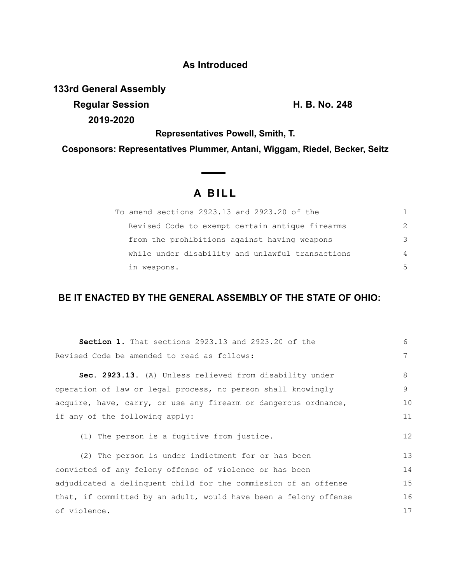## **As Introduced**

**133rd General Assembly Regular Session H. B. No. 248**

**2019-2020**

**Representatives Powell, Smith, T.**

**Cosponsors: Representatives Plummer, Antani, Wiggam, Riedel, Becker, Seitz**

 $\overline{\phantom{a}}$ 

## **A B I L L**

| To amend sections 2923.13 and 2923.20 of the     | 1             |
|--------------------------------------------------|---------------|
| Revised Code to exempt certain antique firearms  | $\mathcal{P}$ |
| from the prohibitions against having weapons     | 3             |
| while under disability and unlawful transactions | 4             |
| in weapons.                                      | .5            |

## **BE IT ENACTED BY THE GENERAL ASSEMBLY OF THE STATE OF OHIO:**

| <b>Section 1.</b> That sections 2923.13 and 2923.20 of the       | 6  |
|------------------------------------------------------------------|----|
| Revised Code be amended to read as follows:                      | 7  |
| Sec. 2923.13. (A) Unless relieved from disability under          | 8  |
| operation of law or legal process, no person shall knowingly     | 9  |
| acquire, have, carry, or use any firearm or dangerous ordnance,  | 10 |
| if any of the following apply:                                   |    |
| (1) The person is a fugitive from justice.                       | 12 |
| (2) The person is under indictment for or has been               | 13 |
| convicted of any felony offense of violence or has been          |    |
| adjudicated a delinquent child for the commission of an offense  |    |
| that, if committed by an adult, would have been a felony offense | 16 |
| of violence.                                                     |    |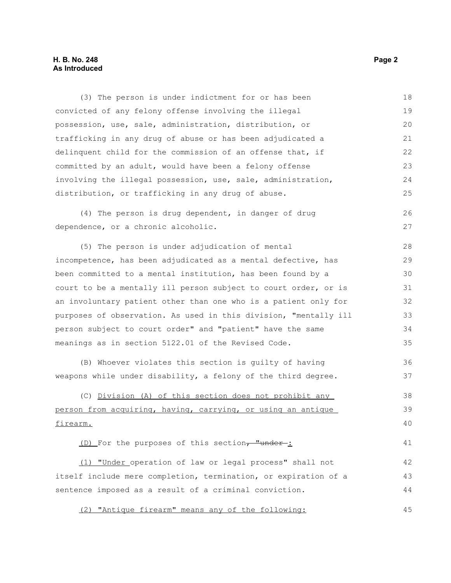(3) The person is under indictment for or has been convicted of any felony offense involving the illegal possession, use, sale, administration, distribution, or trafficking in any drug of abuse or has been adjudicated a delinquent child for the commission of an offense that, if committed by an adult, would have been a felony offense involving the illegal possession, use, sale, administration, distribution, or trafficking in any drug of abuse. 18 19  $20$ 21 22 23 24 25

(4) The person is drug dependent, in danger of drug dependence, or a chronic alcoholic.

(5) The person is under adjudication of mental incompetence, has been adjudicated as a mental defective, has been committed to a mental institution, has been found by a court to be a mentally ill person subject to court order, or is an involuntary patient other than one who is a patient only for purposes of observation. As used in this division, "mentally ill person subject to court order" and "patient" have the same meanings as in section 5122.01 of the Revised Code. 28 29 30 31 32 33 34 35

(B) Whoever violates this section is guilty of having weapons while under disability, a felony of the third degree.

(C) Division (A) of this section does not prohibit any person from acquiring, having, carrying, or using an antique firearm. 38 39 40

(D) For the purposes of this section, "under-:

 (1) "Under operation of law or legal process" shall not itself include mere completion, termination, or expiration of a sentence imposed as a result of a criminal conviction. 42 43 44

(2) "Antique firearm" means any of the following: 45

26 27

36 37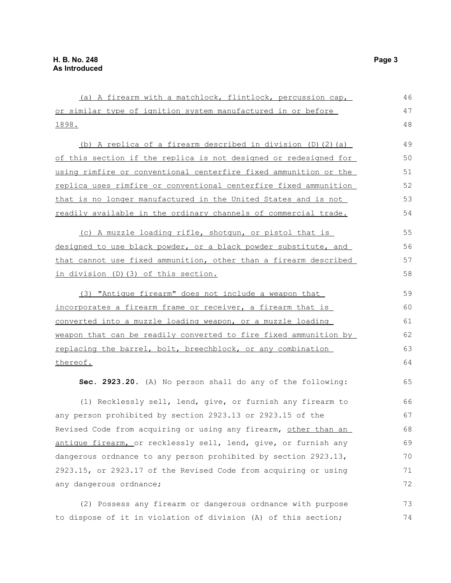| (a) A firearm with a matchlock, flintlock, percussion cap,       | 46 |
|------------------------------------------------------------------|----|
| or similar type of ignition system manufactured in or before     | 47 |
| <u>1898.</u>                                                     |    |
| (b) A replica of a firearm described in division (D) (2) (a)     | 49 |
| of this section if the replica is not designed or redesigned for | 50 |
| using rimfire or conventional centerfire fixed ammunition or the | 51 |
| replica uses rimfire or conventional centerfire fixed ammunition | 52 |
| that is no longer manufactured in the United States and is not   | 53 |
| readily available in the ordinary channels of commercial trade.  | 54 |
| (c) A muzzle loading rifle, shotgun, or pistol that is           | 55 |
| designed to use black powder, or a black powder substitute, and  | 56 |
| that cannot use fixed ammunition, other than a firearm described | 57 |
| in division (D) (3) of this section.                             | 58 |
| (3) "Antique firearm" does not include a weapon that             | 59 |
| incorporates a firearm frame or receiver, a firearm that is      |    |
| converted into a muzzle loading weapon, or a muzzle loading      | 61 |
| weapon that can be readily converted to fire fixed ammunition by | 62 |
| replacing the barrel, bolt, breechblock, or any combination      | 63 |
| thereof.                                                         | 64 |
| Sec. 2923.20. (A) No person shall do any of the following:       | 65 |
| (1) Recklessly sell, lend, give, or furnish any firearm to       | 66 |
| any person prohibited by section 2923.13 or 2923.15 of the       | 67 |
| Revised Code from acquiring or using any firearm, other than an  | 68 |
| antique firearm, or recklessly sell, lend, give, or furnish any  | 69 |
| dangerous ordnance to any person prohibited by section 2923.13,  | 70 |
| 2923.15, or 2923.17 of the Revised Code from acquiring or using  | 71 |
| any dangerous ordnance;                                          | 72 |
| (2) Possess any firearm or dangerous ordnance with purpose       | 73 |

to dispose of it in violation of division (A) of this section;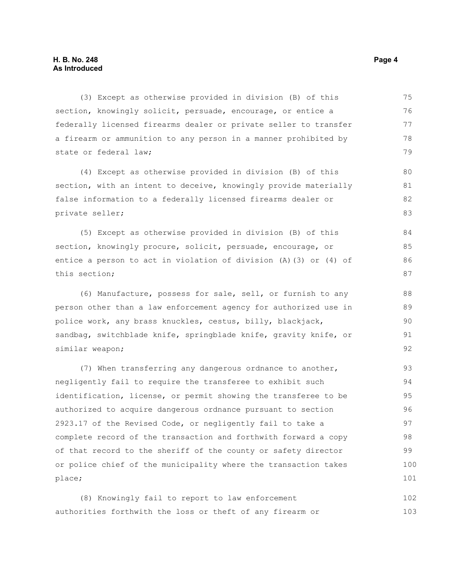(3) Except as otherwise provided in division (B) of this section, knowingly solicit, persuade, encourage, or entice a federally licensed firearms dealer or private seller to transfer a firearm or ammunition to any person in a manner prohibited by state or federal law; 75 76 77 78 79

(4) Except as otherwise provided in division (B) of this section, with an intent to deceive, knowingly provide materially false information to a federally licensed firearms dealer or private seller;

(5) Except as otherwise provided in division (B) of this section, knowingly procure, solicit, persuade, encourage, or entice a person to act in violation of division (A)(3) or (4) of this section;

(6) Manufacture, possess for sale, sell, or furnish to any person other than a law enforcement agency for authorized use in police work, any brass knuckles, cestus, billy, blackjack, sandbag, switchblade knife, springblade knife, gravity knife, or similar weapon;

(7) When transferring any dangerous ordnance to another, negligently fail to require the transferee to exhibit such identification, license, or permit showing the transferee to be authorized to acquire dangerous ordnance pursuant to section 2923.17 of the Revised Code, or negligently fail to take a complete record of the transaction and forthwith forward a copy of that record to the sheriff of the county or safety director or police chief of the municipality where the transaction takes place; 93 94 95 96 97 98 99 100 101

(8) Knowingly fail to report to law enforcement authorities forthwith the loss or theft of any firearm or 102 103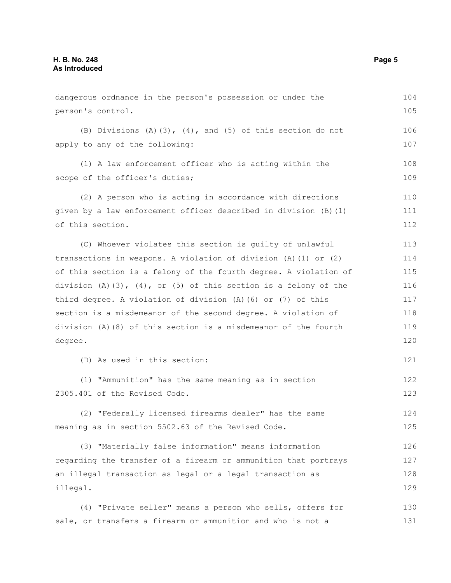dangerous ordnance in the person's possession or under the person's control. (B) Divisions (A)(3), (4), and (5) of this section do not apply to any of the following: (1) A law enforcement officer who is acting within the scope of the officer's duties; (2) A person who is acting in accordance with directions given by a law enforcement officer described in division (B)(1) of this section. (C) Whoever violates this section is guilty of unlawful transactions in weapons. A violation of division (A)(1) or (2) of this section is a felony of the fourth degree. A violation of division  $(A)$   $(3)$ ,  $(4)$ , or  $(5)$  of this section is a felony of the third degree. A violation of division (A)(6) or (7) of this section is a misdemeanor of the second degree. A violation of division (A)(8) of this section is a misdemeanor of the fourth degree. (D) As used in this section: (1) "Ammunition" has the same meaning as in section 2305.401 of the Revised Code. (2) "Federally licensed firearms dealer" has the same meaning as in section 5502.63 of the Revised Code. (3) "Materially false information" means information regarding the transfer of a firearm or ammunition that portrays an illegal transaction as legal or a legal transaction as illegal. (4) "Private seller" means a person who sells, offers for 104 105 106 107 108 109 110 111 112 113 114 115 116 117 118 119 120 121 122 123 124 125 126 127 128 129 130

sale, or transfers a firearm or ammunition and who is not a